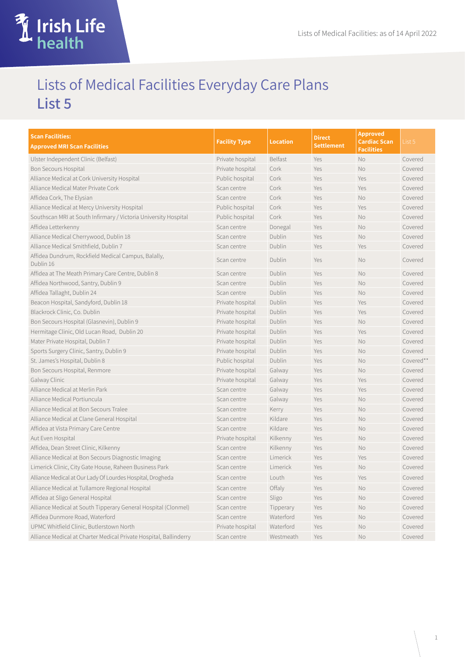## Lists of Medical Facilities Everyday Care Plans **List 5**

**Trip** 

**Irish Life**<br>Shealth

| <b>Scan Facilities:</b>                                           | <b>Facility Type</b> | <b>Location</b> | <b>Direct</b>     | <b>Approved</b><br><b>Cardiac Scan</b> | List 5    |
|-------------------------------------------------------------------|----------------------|-----------------|-------------------|----------------------------------------|-----------|
| <b>Approved MRI Scan Facilities</b>                               |                      |                 | <b>Settlement</b> | <b>Facilities</b>                      |           |
| Ulster Independent Clinic (Belfast)                               | Private hospital     | <b>Belfast</b>  | Yes               | No                                     | Covered   |
| <b>Bon Secours Hospital</b>                                       | Private hospital     | Cork            | Yes               | <b>No</b>                              | Covered   |
| Alliance Medical at Cork University Hospital                      | Public hospital      | Cork            | Yes               | Yes                                    | Covered   |
| Alliance Medical Mater Private Cork                               | Scan centre          | Cork            | Yes               | Yes                                    | Covered   |
| Affidea Cork, The Elysian                                         | Scan centre          | Cork            | Yes               | <b>No</b>                              | Covered   |
| Alliance Medical at Mercy University Hospital                     | Public hospital      | Cork            | Yes               | Yes                                    | Covered   |
| Southscan MRI at South Infirmary / Victoria University Hospital   | Public hospital      | Cork            | Yes               | No                                     | Covered   |
| Affidea Letterkenny                                               | Scan centre          | Donegal         | Yes               | No                                     | Covered   |
| Alliance Medical Cherrywood, Dublin 18                            | Scan centre          | Dublin          | Yes               | <b>No</b>                              | Covered   |
| Alliance Medical Smithfield, Dublin 7                             | Scan centre          | Dublin          | Yes               | Yes                                    | Covered   |
| Affidea Dundrum, Rockfield Medical Campus, Balally,<br>Dublin 16  | Scan centre          | Dublin          | Yes               | <b>No</b>                              | Covered   |
| Affidea at The Meath Primary Care Centre, Dublin 8                | Scan centre          | Dublin          | Yes               | No                                     | Covered   |
| Affidea Northwood, Santry, Dublin 9                               | Scan centre          | Dublin          | Yes               | No                                     | Covered   |
| Affidea Tallaght, Dublin 24                                       | Scan centre          | Dublin          | Yes               | No                                     | Covered   |
| Beacon Hospital, Sandyford, Dublin 18                             | Private hospital     | Dublin          | Yes               | Yes                                    | Covered   |
| Blackrock Clinic, Co. Dublin                                      | Private hospital     | Dublin          | Yes               | Yes                                    | Covered   |
| Bon Secours Hospital (Glasnevin), Dublin 9                        | Private hospital     | Dublin          | Yes               | <b>No</b>                              | Covered   |
| Hermitage Clinic, Old Lucan Road, Dublin 20                       | Private hospital     | Dublin          | Yes               | Yes                                    | Covered   |
| Mater Private Hospital, Dublin 7                                  | Private hospital     | Dublin          | Yes               | No                                     | Covered   |
| Sports Surgery Clinic, Santry, Dublin 9                           | Private hospital     | Dublin          | Yes               | No                                     | Covered   |
| St. James's Hospital, Dublin 8                                    | Public hospital      | Dublin          | Yes               | <b>No</b>                              | Covered** |
| Bon Secours Hospital, Renmore                                     | Private hospital     | Galway          | Yes               | No                                     | Covered   |
| Galway Clinic                                                     | Private hospital     | Galway          | Yes               | Yes                                    | Covered   |
| Alliance Medical at Merlin Park                                   | Scan centre          | Galway          | Yes               | Yes                                    | Covered   |
| Alliance Medical Portiuncula                                      | Scan centre          | Galway          | Yes               | No                                     | Covered   |
| Alliance Medical at Bon Secours Tralee                            | Scan centre          | Kerry           | Yes               | No                                     | Covered   |
| Alliance Medical at Clane General Hospital                        | Scan centre          | Kildare         | Yes               | No                                     | Covered   |
| Affidea at Vista Primary Care Centre                              | Scan centre          | Kildare         | Yes               | No                                     | Covered   |
| Aut Even Hospital                                                 | Private hospital     | Kilkenny        | Yes               | No                                     | Covered   |
| Affidea, Dean Street Clinic, Kilkenny                             | Scan centre          | Kilkenny        | Yes               | No                                     | Covered   |
| Alliance Medical at Bon Secours Diagnostic Imaging                | Scan centre          | Limerick        | Yes               | Yes                                    | Covered   |
| Limerick Clinic, City Gate House, Raheen Business Park            | Scan centre          | Limerick        | Yes               | No                                     | Covered   |
| Alliance Medical at Our Lady Of Lourdes Hospital, Drogheda        | Scan centre          | Louth           | Yes               | Yes                                    | Covered   |
| Alliance Medical at Tullamore Regional Hospital                   | Scan centre          | Offaly          | Yes               | No                                     | Covered   |
| Affidea at Sligo General Hospital                                 | Scan centre          | Sligo           | Yes               | No                                     | Covered   |
| Alliance Medical at South Tipperary General Hospital (Clonmel)    | Scan centre          | Tipperary       | Yes               | No                                     | Covered   |
| Affidea Dunmore Road, Waterford                                   | Scan centre          | Waterford       | Yes               | No                                     | Covered   |
| UPMC Whitfield Clinic, Butlerstown North                          | Private hospital     | Waterford       | Yes               | $\rm No$                               | Covered   |
| Alliance Medical at Charter Medical Private Hospital, Ballinderry | Scan centre          | Westmeath       | Yes               | No                                     | Covered   |